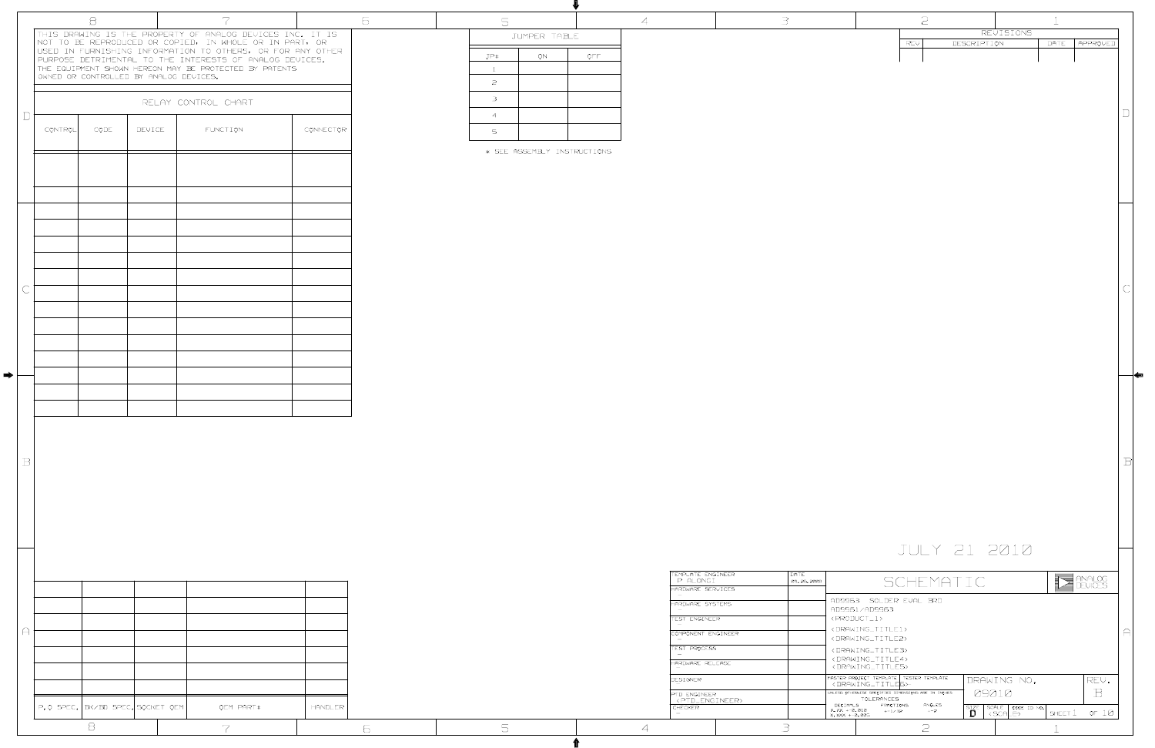|                                             |                                                                                                                 | $\overline{c}$ |                 |             |                                         | $\perp$ |                   |             |
|---------------------------------------------|-----------------------------------------------------------------------------------------------------------------|----------------|-----------------|-------------|-----------------------------------------|---------|-------------------|-------------|
|                                             |                                                                                                                 | REV            |                 | DESCRIPTION | REVISIONS                               | DATE    | APPROVED          |             |
|                                             |                                                                                                                 |                |                 |             |                                         |         |                   |             |
|                                             |                                                                                                                 |                |                 |             |                                         |         |                   |             |
|                                             |                                                                                                                 |                |                 |             |                                         |         |                   |             |
|                                             |                                                                                                                 |                |                 |             |                                         |         |                   |             |
|                                             |                                                                                                                 |                |                 |             |                                         |         |                   |             |
|                                             |                                                                                                                 |                |                 |             |                                         |         |                   |             |
|                                             |                                                                                                                 |                |                 |             |                                         |         |                   |             |
|                                             |                                                                                                                 |                |                 |             |                                         |         |                   |             |
|                                             |                                                                                                                 |                |                 |             |                                         |         |                   |             |
|                                             |                                                                                                                 |                |                 |             |                                         |         |                   |             |
|                                             |                                                                                                                 |                |                 |             |                                         |         |                   |             |
|                                             |                                                                                                                 |                |                 |             |                                         |         |                   |             |
|                                             |                                                                                                                 |                |                 |             |                                         |         |                   |             |
|                                             |                                                                                                                 |                |                 |             |                                         |         |                   |             |
|                                             |                                                                                                                 |                |                 |             |                                         |         |                   |             |
|                                             |                                                                                                                 |                |                 |             |                                         |         |                   |             |
|                                             |                                                                                                                 |                |                 |             |                                         |         |                   |             |
|                                             |                                                                                                                 |                |                 |             |                                         |         |                   |             |
|                                             |                                                                                                                 |                |                 |             |                                         |         |                   |             |
|                                             |                                                                                                                 |                |                 |             |                                         |         |                   |             |
|                                             |                                                                                                                 |                |                 |             |                                         |         |                   |             |
|                                             |                                                                                                                 |                |                 |             |                                         |         |                   |             |
|                                             |                                                                                                                 |                |                 |             |                                         |         |                   | $\mathbb B$ |
|                                             |                                                                                                                 |                |                 |             |                                         |         |                   |             |
|                                             |                                                                                                                 |                |                 |             |                                         |         |                   |             |
|                                             |                                                                                                                 |                |                 |             |                                         |         |                   |             |
|                                             |                                                                                                                 |                |                 |             |                                         |         |                   |             |
|                                             |                                                                                                                 |                |                 |             | JULY 21 2010                            |         |                   |             |
|                                             |                                                                                                                 |                |                 |             |                                         |         |                   |             |
|                                             |                                                                                                                 |                | SCHEMATIC       |             |                                         |         | ANALOG<br>DEVICES |             |
|                                             | AD9963 SOLDER EVAL BRD<br>AD9961/AD9963                                                                         |                |                 |             |                                         |         |                   |             |
|                                             | <product_1></product_1>                                                                                         |                |                 |             |                                         |         |                   |             |
|                                             | <drawing_title1><br/><drawing_title2></drawing_title2></drawing_title1>                                         |                |                 |             |                                         |         |                   | А           |
|                                             | <drawing_title.3><br/><drawing_title4></drawing_title4></drawing_title.3>                                       |                |                 |             |                                         |         |                   |             |
|                                             | <drawing_title5><br/>MASTER PROJECT TEMPLATE TESTER TEMPLATE</drawing_title5>                                   |                |                 |             | DRAWING NO.                             |         | REV.              |             |
|                                             | <drawing_title6><br/>UNLESS OTHERWISE SPECIFIED DIMENSIONS ARE IN INCHES<br/><b>TOLERANCES</b></drawing_title6> |                |                 | 09010       |                                         |         | $\mathbb B$       |             |
| DECIMALS<br>X.XX +-0.010<br>X. XXX +-0. 005 | FRACTIONS<br>$+-1/32$                                                                                           |                | ANGLES<br>$+-2$ | SIZE<br>D   | SCALE<br>CODE ID NO.<br><scale></scale> | SHEET 1 | or $10$           |             |
|                                             |                                                                                                                 | P              |                 |             |                                         |         |                   |             |

|                          |                | $\beta$                                |        | $\overline{7}$                                                                                                       |           | 6 | 5              |                             |      | $\overline{4}$ |                                           | 3          |          |                                                                         | $\mathfrak{D}$  |             |                                                                              |           |
|--------------------------|----------------|----------------------------------------|--------|----------------------------------------------------------------------------------------------------------------------|-----------|---|----------------|-----------------------------|------|----------------|-------------------------------------------|------------|----------|-------------------------------------------------------------------------|-----------------|-------------|------------------------------------------------------------------------------|-----------|
|                          |                |                                        |        | THIS DRAWING IS THE PROPERTY OF ANALOG DEVICES INC. IT IS<br>NOT TO BE REPRODUCED OR COPIED, IN WHOLE OR IN PART, OR |           |   |                | JUMPER TABLE                |      |                |                                           |            |          |                                                                         |                 |             | REVISIONS                                                                    |           |
|                          |                |                                        |        | USED IN FURNISHING INFORMATION TO OTHERS, OR FOR ANY OTHER                                                           |           |   | JP#            | ON                          | OFF. |                |                                           |            |          |                                                                         | REV             | DESCRIPTION |                                                                              | <b>DA</b> |
|                          |                |                                        |        | PURPOSE DETRIMENTAL TO THE INTERESTS OF ANALOG DEVICES.<br>THE EQUIPMENT SHOWN HEREON MAY BE PROTECTED BY PATENTS    |           |   | $\perp$        |                             |      |                |                                           |            |          |                                                                         |                 |             |                                                                              |           |
|                          |                | OWNED OR CONTROLLED BY ANALOG DEVICES. |        |                                                                                                                      |           |   | $\overline{z}$ |                             |      |                |                                           |            |          |                                                                         |                 |             |                                                                              |           |
|                          |                |                                        |        |                                                                                                                      |           |   |                |                             |      |                |                                           |            |          |                                                                         |                 |             |                                                                              |           |
|                          |                |                                        |        | RELAY CONTROL CHART                                                                                                  |           |   | $\exists$      |                             |      |                |                                           |            |          |                                                                         |                 |             |                                                                              |           |
| $\Box$                   |                |                                        |        |                                                                                                                      |           |   | $\overline{4}$ |                             |      |                |                                           |            |          |                                                                         |                 |             |                                                                              |           |
|                          | <b>CONTROL</b> | CODE                                   | DEVICE | <b>FUNCTION</b>                                                                                                      | CONNECTOR |   | $5^{\circ}$    |                             |      |                |                                           |            |          |                                                                         |                 |             |                                                                              |           |
|                          |                |                                        |        |                                                                                                                      |           |   |                |                             |      |                |                                           |            |          |                                                                         |                 |             |                                                                              |           |
|                          |                |                                        |        |                                                                                                                      |           |   |                | * SEE ASSEMBLY INSTRUCTIONS |      |                |                                           |            |          |                                                                         |                 |             |                                                                              |           |
|                          |                |                                        |        |                                                                                                                      |           |   |                |                             |      |                |                                           |            |          |                                                                         |                 |             |                                                                              |           |
|                          |                |                                        |        |                                                                                                                      |           |   |                |                             |      |                |                                           |            |          |                                                                         |                 |             |                                                                              |           |
|                          |                |                                        |        |                                                                                                                      |           |   |                |                             |      |                |                                           |            |          |                                                                         |                 |             |                                                                              |           |
|                          |                |                                        |        |                                                                                                                      |           |   |                |                             |      |                |                                           |            |          |                                                                         |                 |             |                                                                              |           |
|                          |                |                                        |        |                                                                                                                      |           |   |                |                             |      |                |                                           |            |          |                                                                         |                 |             |                                                                              |           |
|                          |                |                                        |        |                                                                                                                      |           |   |                |                             |      |                |                                           |            |          |                                                                         |                 |             |                                                                              |           |
|                          |                |                                        |        |                                                                                                                      |           |   |                |                             |      |                |                                           |            |          |                                                                         |                 |             |                                                                              |           |
|                          |                |                                        |        |                                                                                                                      |           |   |                |                             |      |                |                                           |            |          |                                                                         |                 |             |                                                                              |           |
|                          |                |                                        |        |                                                                                                                      |           |   |                |                             |      |                |                                           |            |          |                                                                         |                 |             |                                                                              |           |
| $\overline{\mathcal{C}}$ |                |                                        |        |                                                                                                                      |           |   |                |                             |      |                |                                           |            |          |                                                                         |                 |             |                                                                              |           |
|                          |                |                                        |        |                                                                                                                      |           |   |                |                             |      |                |                                           |            |          |                                                                         |                 |             |                                                                              |           |
|                          |                |                                        |        |                                                                                                                      |           |   |                |                             |      |                |                                           |            |          |                                                                         |                 |             |                                                                              |           |
|                          |                |                                        |        |                                                                                                                      |           |   |                |                             |      |                |                                           |            |          |                                                                         |                 |             |                                                                              |           |
|                          |                |                                        |        |                                                                                                                      |           |   |                |                             |      |                |                                           |            |          |                                                                         |                 |             |                                                                              |           |
|                          |                |                                        |        |                                                                                                                      |           |   |                |                             |      |                |                                           |            |          |                                                                         |                 |             |                                                                              |           |
|                          |                |                                        |        |                                                                                                                      |           |   |                |                             |      |                |                                           |            |          |                                                                         |                 |             |                                                                              |           |
|                          |                |                                        |        |                                                                                                                      |           |   |                |                             |      |                |                                           |            |          |                                                                         |                 |             |                                                                              |           |
|                          |                |                                        |        |                                                                                                                      |           |   |                |                             |      |                |                                           |            |          |                                                                         |                 |             |                                                                              |           |
|                          |                |                                        |        |                                                                                                                      |           |   |                |                             |      |                |                                           |            |          |                                                                         |                 |             |                                                                              |           |
|                          |                |                                        |        |                                                                                                                      |           |   |                |                             |      |                |                                           |            |          |                                                                         |                 |             |                                                                              |           |
|                          |                |                                        |        |                                                                                                                      |           |   |                |                             |      |                |                                           |            |          |                                                                         |                 |             |                                                                              |           |
| $\, {\bf B}$             |                |                                        |        |                                                                                                                      |           |   |                |                             |      |                |                                           |            |          |                                                                         |                 |             |                                                                              |           |
|                          |                |                                        |        |                                                                                                                      |           |   |                |                             |      |                |                                           |            |          |                                                                         |                 |             |                                                                              |           |
|                          |                |                                        |        |                                                                                                                      |           |   |                |                             |      |                |                                           |            |          |                                                                         |                 |             |                                                                              |           |
|                          |                |                                        |        |                                                                                                                      |           |   |                |                             |      |                |                                           |            |          |                                                                         |                 |             |                                                                              |           |
|                          |                |                                        |        |                                                                                                                      |           |   |                |                             |      |                |                                           |            |          |                                                                         |                 |             |                                                                              |           |
|                          |                |                                        |        |                                                                                                                      |           |   |                |                             |      |                |                                           |            |          |                                                                         |                 |             |                                                                              |           |
|                          |                |                                        |        |                                                                                                                      |           |   |                |                             |      |                |                                           |            |          |                                                                         |                 |             |                                                                              |           |
|                          |                |                                        |        |                                                                                                                      |           |   |                |                             |      |                |                                           |            |          |                                                                         | JULY 21 2010    |             |                                                                              |           |
|                          |                |                                        |        |                                                                                                                      |           |   |                |                             |      |                | TEMPLATE ENGINEER                         | DATE       |          |                                                                         |                 |             |                                                                              |           |
|                          |                |                                        |        |                                                                                                                      |           |   |                |                             |      |                | P ALONGI<br>HARDWARE SERVICES             | 09.26.2008 |          |                                                                         | SCHEMATIC       |             |                                                                              |           |
|                          |                |                                        |        |                                                                                                                      |           |   |                |                             |      |                |                                           |            |          | AD9963 SOLDER EVAL BRD                                                  |                 |             |                                                                              |           |
|                          |                |                                        |        |                                                                                                                      |           |   |                |                             |      |                | HARDWARE SYSTEMS                          |            |          | AD9961/AD9963                                                           |                 |             |                                                                              |           |
|                          |                |                                        |        |                                                                                                                      |           |   |                |                             |      |                | TEST ENGINEER                             |            |          | $\langle$ PRODUCT $\_1$ ><br><drawing_title1></drawing_title1>          |                 |             |                                                                              |           |
| A                        |                |                                        |        |                                                                                                                      |           |   |                |                             |      |                | COMPONENT ENGINEER                        |            |          | <drawing_title2></drawing_title2>                                       |                 |             |                                                                              |           |
|                          |                |                                        |        |                                                                                                                      |           |   |                |                             |      |                | TEST PROCESS                              |            |          | <drawing_title3></drawing_title3>                                       |                 |             |                                                                              |           |
|                          |                |                                        |        |                                                                                                                      |           |   |                |                             |      |                | HARDWARE RELEASE                          |            |          | <drawing_title4><br/><drawing_title5></drawing_title5></drawing_title4> |                 |             |                                                                              |           |
|                          |                |                                        |        |                                                                                                                      |           |   |                |                             |      |                | DESIGNER                                  |            |          | MASTER PROJECT TEMPLATE TESTER TEMPLATE                                 |                 |             | DRAWING NO.                                                                  |           |
|                          |                |                                        |        |                                                                                                                      |           |   |                |                             |      |                | PTD ENGINEER                              |            |          | UNLESS OTHERWISE SPECIFIED DIMENSIONS ARE IN INCHES                     |                 | 09010       |                                                                              |           |
|                          |                | P.O SPEC. BK/BD SPEC. SOCKET OEM       |        | OEM PART#                                                                                                            | HANDLER   |   |                |                             |      |                | <ptd_engineer><br/>CHECKER</ptd_engineer> |            | DECIMALS | TOLERANCES<br><b>FRACTIONS</b>                                          | ANGLES<br>$+-2$ |             | $\frac{\text{SIZE}}{\text{D}}$ < SCALE $\frac{\text{CODE}}{\text{F}}$ in No. | $S+$      |
|                          |                |                                        |        |                                                                                                                      |           |   |                |                             |      |                |                                           |            |          | X.XX +-0.010 +-1/32<br>X.XXX +-0.005 +-1/32                             |                 |             |                                                                              |           |
|                          |                | $\Xi$                                  |        | 7                                                                                                                    |           | 6 | 5              |                             |      | $\overline{4}$ |                                           | $\exists$  |          |                                                                         | $\mathfrak{D}$  |             |                                                                              |           |

 $\bullet$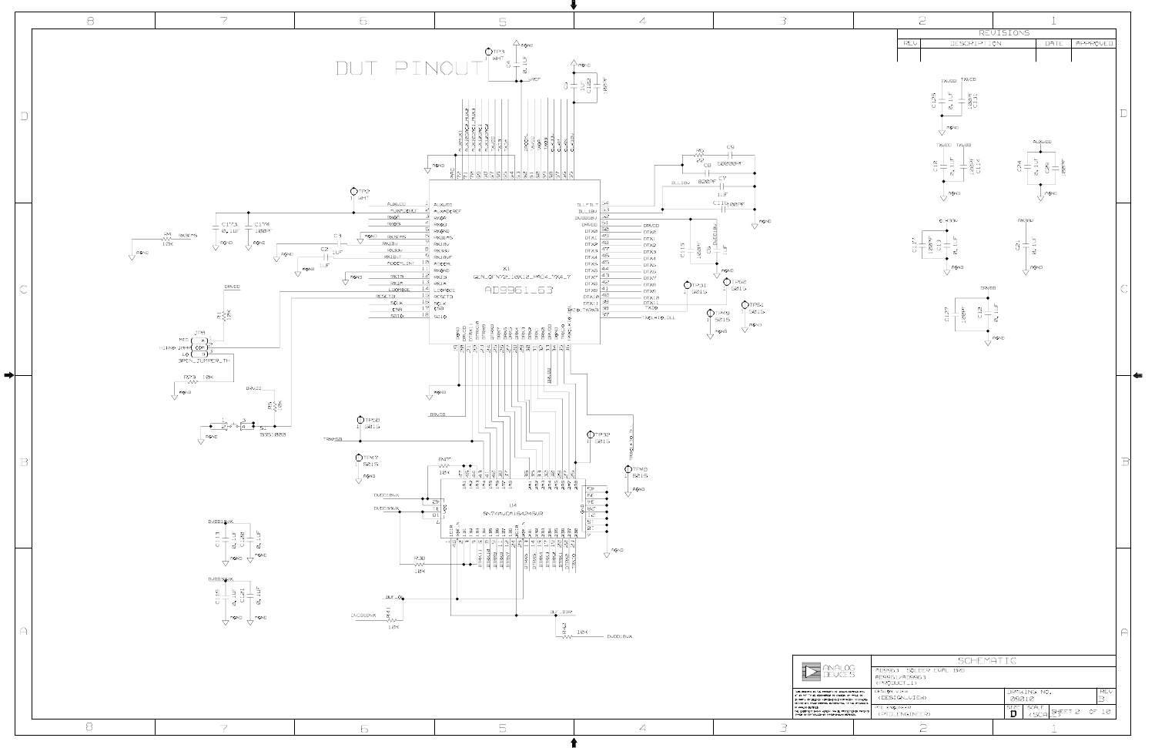|                                                   |              | 2                             |                                                                                            |                  |               | $\perp$                                                          |          |             |
|---------------------------------------------------|--------------|-------------------------------|--------------------------------------------------------------------------------------------|------------------|---------------|------------------------------------------------------------------|----------|-------------|
|                                                   |              | REV                           | DESCRIPTION                                                                                | <b>REVISIONS</b> |               | DATE                                                             | APPROVED |             |
|                                                   |              |                               |                                                                                            |                  |               |                                                                  |          |             |
|                                                   |              |                               |                                                                                            |                  |               |                                                                  |          |             |
|                                                   |              |                               | TXVDD<br>TXVDD                                                                             |                  |               |                                                                  |          |             |
|                                                   |              |                               | 0. 1UF<br>$\begin{array}{c} 100 \text{PF} \\ \text{C1.31} \end{array}$<br>C <sub>125</sub> |                  |               |                                                                  |          |             |
|                                                   |              |                               |                                                                                            |                  |               |                                                                  |          | $\vert$ )   |
|                                                   |              |                               | AGND                                                                                       |                  |               |                                                                  |          |             |
|                                                   |              |                               | TXYDD TXYDD                                                                                |                  |               | AUXVDD                                                           |          |             |
|                                                   |              |                               |                                                                                            |                  |               |                                                                  |          |             |
|                                                   |              |                               | $0.1 \cup F$<br>$\frac{1}{2}$<br>C <sub>1</sub> 0                                          |                  | C24           | 0.10F<br>$100P$ F<br>C <sub>Q</sub>                              |          |             |
|                                                   |              |                               |                                                                                            |                  |               |                                                                  |          |             |
|                                                   |              |                               | AGND                                                                                       |                  |               | AGND                                                             |          |             |
|                                                   |              |                               |                                                                                            |                  |               |                                                                  |          |             |
|                                                   |              |                               | CLK33V                                                                                     |                  | RX33V         |                                                                  |          |             |
|                                                   |              | C117                          | $\begin{array}{c} 1 \, 00 \, \text{P}^{\text{F}} \\  \, \text{C13} \end{array}$<br>0. LUF  |                  | C21           | 2.10F                                                            |          |             |
|                                                   |              |                               |                                                                                            |                  |               |                                                                  |          |             |
|                                                   |              |                               | AGND                                                                                       |                  |               | AGND                                                             |          |             |
|                                                   |              |                               |                                                                                            | DRYDD            |               |                                                                  |          | J           |
|                                                   |              |                               |                                                                                            |                  |               |                                                                  |          |             |
|                                                   |              |                               | $100P$ F<br>C12<br>C127                                                                    | 0. 1UF           |               |                                                                  |          |             |
|                                                   |              |                               |                                                                                            |                  |               |                                                                  |          |             |
|                                                   |              |                               |                                                                                            | AGND             |               |                                                                  |          |             |
|                                                   |              |                               |                                                                                            |                  |               |                                                                  |          |             |
|                                                   |              |                               |                                                                                            |                  |               |                                                                  |          |             |
|                                                   |              |                               |                                                                                            |                  |               |                                                                  |          |             |
|                                                   |              |                               |                                                                                            |                  |               |                                                                  |          |             |
|                                                   |              |                               |                                                                                            |                  |               |                                                                  |          |             |
|                                                   |              |                               |                                                                                            |                  |               |                                                                  |          |             |
|                                                   |              |                               |                                                                                            |                  |               |                                                                  |          |             |
|                                                   |              |                               |                                                                                            |                  |               |                                                                  |          | $\mathbb B$ |
|                                                   |              |                               |                                                                                            |                  |               |                                                                  |          |             |
|                                                   |              |                               |                                                                                            |                  |               |                                                                  |          |             |
|                                                   |              |                               |                                                                                            |                  |               |                                                                  |          |             |
|                                                   |              |                               |                                                                                            |                  |               |                                                                  |          |             |
|                                                   |              |                               |                                                                                            |                  |               |                                                                  |          |             |
|                                                   |              |                               |                                                                                            |                  |               |                                                                  |          |             |
|                                                   |              |                               |                                                                                            |                  |               |                                                                  |          |             |
|                                                   |              |                               |                                                                                            |                  |               |                                                                  |          |             |
|                                                   |              |                               |                                                                                            |                  |               |                                                                  |          |             |
|                                                   |              |                               |                                                                                            |                  |               |                                                                  |          |             |
|                                                   |              |                               |                                                                                            |                  |               |                                                                  |          | А           |
|                                                   |              |                               |                                                                                            |                  |               |                                                                  |          |             |
|                                                   |              |                               | SCHEMATIC                                                                                  |                  |               |                                                                  |          |             |
|                                                   |              | AD9961/AD9963                 | AD996,3 SOLDER EVAL BRD                                                                    |                  |               |                                                                  |          |             |
| DEVICES INC.                                      | DESIGN VIEW  | <product_1></product_1>       |                                                                                            |                  | DRAWING NO.   |                                                                  | REV      |             |
| IN NHOLE OR<br>rtow to othere.<br>o THE INTERESTS | PTD ENGINEER | <design_view></design_view>   |                                                                                            |                  | 09010<br>SIZE | SCALE                                                            | B        |             |
| ECTED BY PATENTS<br>WICES,                        |              | <ptd_engineer></ptd_engineer> |                                                                                            |                  | D             | 완트T 2<br><sca< td=""><td>OF <math>10</math></td><td></td></sca<> | OF $10$  |             |
|                                                   |              | $\overline{c}$                |                                                                                            |                  |               | 1                                                                |          |             |

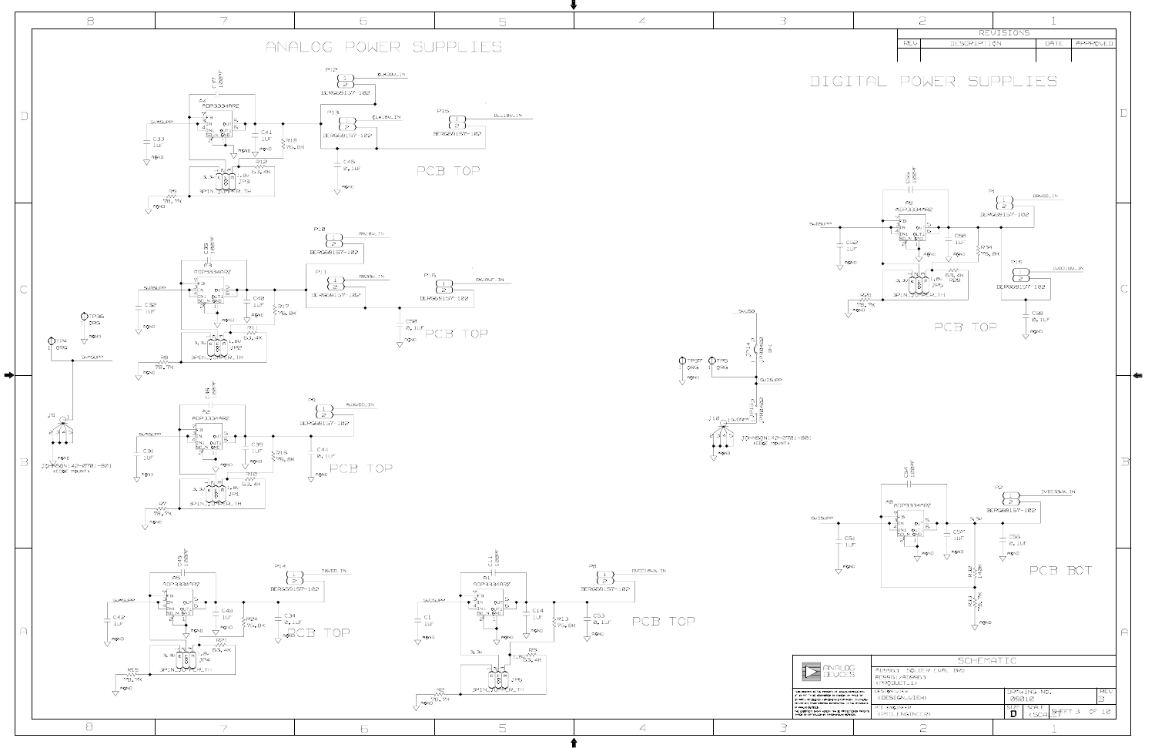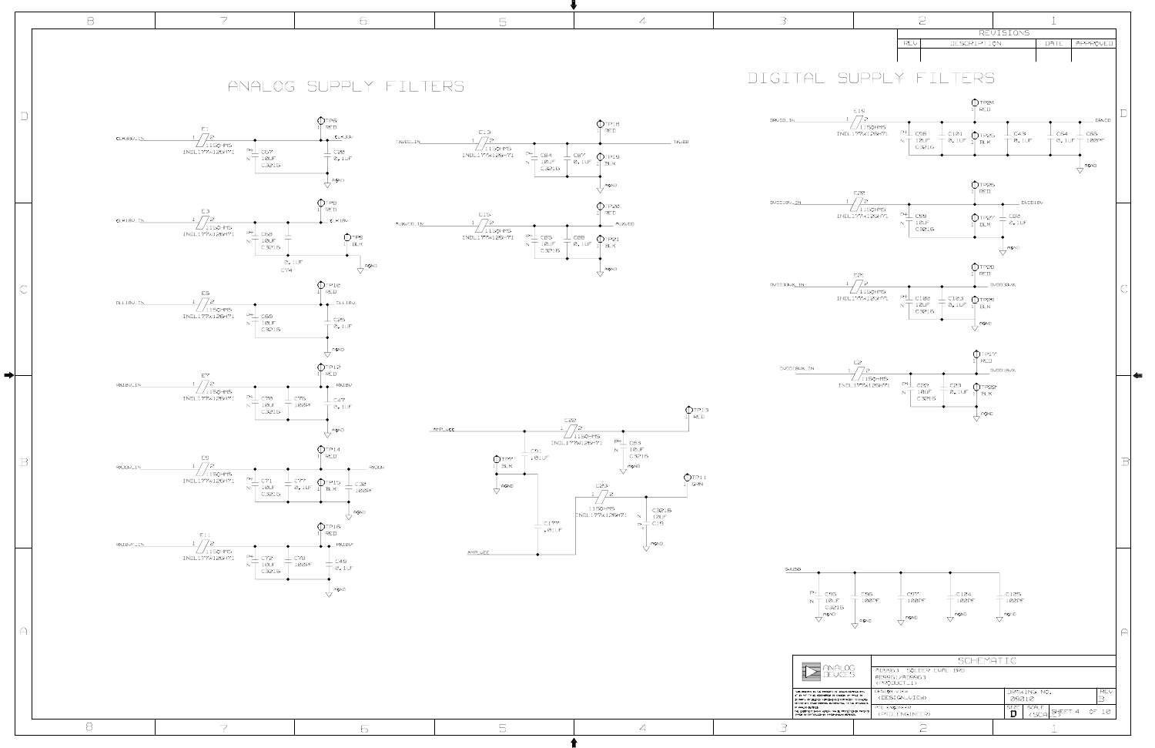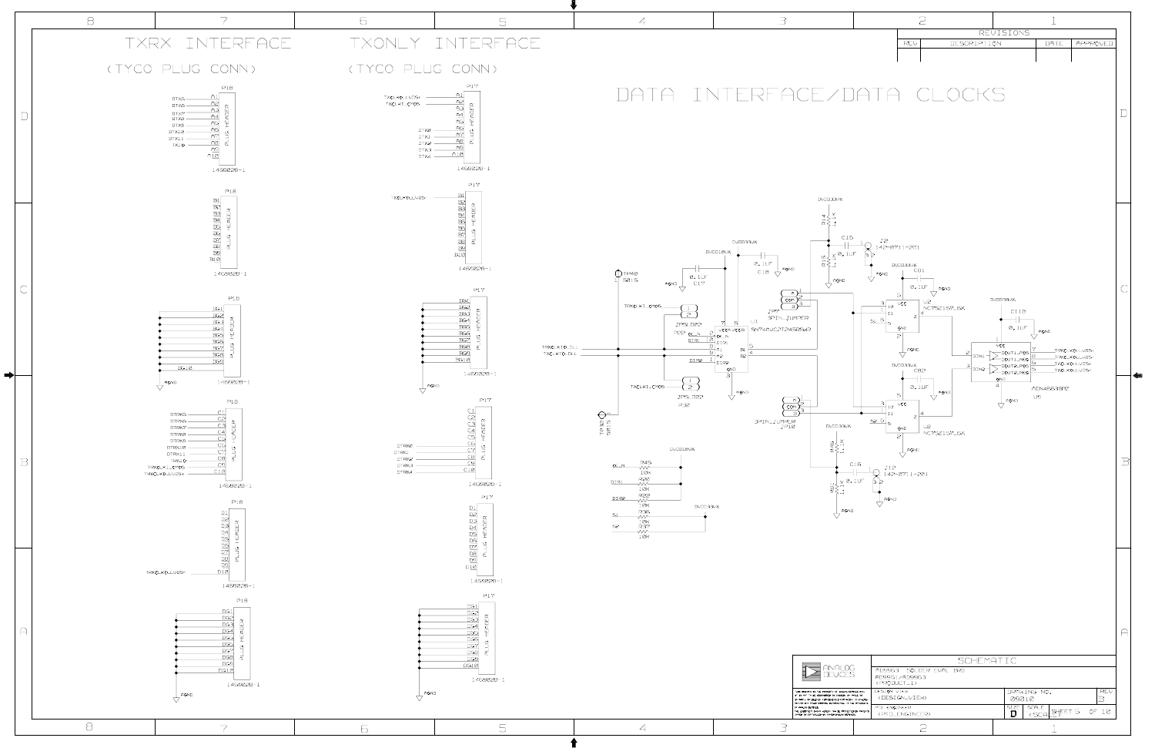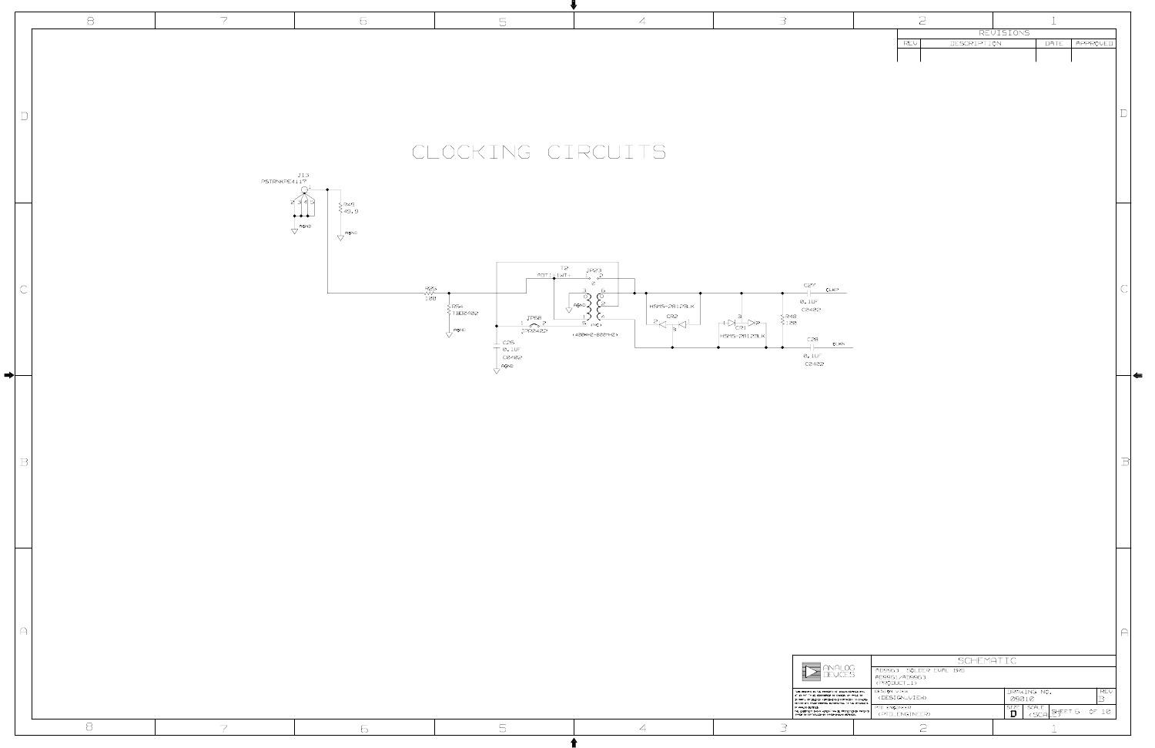| REVISIONS<br>DESCRIPTION<br>REV<br>$\mathbb D$<br>CLOCKING CIRCUITS<br>$J13$<br>PSTRNKPE4117<br>∑R49<br>>49.9<br>$\bullet\bullet\bullet$<br>$\bigvee$ AGND<br>$\overline{\bigvee}$ AGND<br>T2<br><u>ADT1_IWT+</u><br>J <sup>P2,3</sup><br>ø<br>C27<br>$\subset$<br>CLKP<br>$-400 - 100$<br><u>ୁ</u><br>$0.1 \cup F$<br>$\begin{array}{cc} \cdot & \downarrow \\ \nabla & \downarrow \end{array}$ AGND $\prec$<br>$H SMS-2B12BLK$<br>C0402<br>$\begin{array}{c} \n\searrow R4B \\ \n\searrow 100 \n\end{array}$<br>$-$ <sup>CR2</sup><br>ਾਸ਼<br>ਜਨਵ<br>$\mathbb{P}^{\mathbb{Z}}_{\mathbb{C}\mathbb{R}1}$<br>$\overline{5}$ (NC)<br>$\overline{\bigvee}$ AGND<br>JPR0402<br>$\langle$ 400KHZ-B00MHZ)<br>HSMS-2812BLK<br>$-$ c28<br>$\perp$ c26<br>CLKN<br>$\left[\begin{array}{c} 0.10F \\ 0.402 \end{array}\right]$<br>$0.1 \cup F$<br>C0402<br>$\overline{\bigcup_{\text{PGND}}}$<br>$\, {\bf B}$<br>$\bigcap$<br>SCHEMATIC<br>$\sum_{\text{DEVICES}}$<br>AD996,3 SOLDER EVAL BRD<br>AD9961/AD9963<br><product_1></product_1> | $\Xi$ | $\overline{7}$ | 6 | 5 | $\overline{A}$ | $\exists$ | $\mathfrak{D}$ |                                          |             |
|-------------------------------------------------------------------------------------------------------------------------------------------------------------------------------------------------------------------------------------------------------------------------------------------------------------------------------------------------------------------------------------------------------------------------------------------------------------------------------------------------------------------------------------------------------------------------------------------------------------------------------------------------------------------------------------------------------------------------------------------------------------------------------------------------------------------------------------------------------------------------------------------------------------------------------------------------------------------------------------------------------------------------------|-------|----------------|---|---|----------------|-----------|----------------|------------------------------------------|-------------|
|                                                                                                                                                                                                                                                                                                                                                                                                                                                                                                                                                                                                                                                                                                                                                                                                                                                                                                                                                                                                                               |       |                |   |   |                |           |                | DATE <b>APPROVED</b>                     | $\Box$      |
|                                                                                                                                                                                                                                                                                                                                                                                                                                                                                                                                                                                                                                                                                                                                                                                                                                                                                                                                                                                                                               |       |                |   |   |                |           |                |                                          | $\sqrt{ }$  |
|                                                                                                                                                                                                                                                                                                                                                                                                                                                                                                                                                                                                                                                                                                                                                                                                                                                                                                                                                                                                                               |       |                |   |   |                |           |                |                                          | $\mathbb B$ |
| DESIGN VIEW<br>DRAWING NO.<br>THIS DRINGING IS THE PROPERTY OF ANNLOG DEVICES INC.<br>IT IS NOT TO BE REPRODUCED OR COPIED. IN MHOLE OR<br>$\langle$ DESIGN_VIEW><br>09010<br>IN PRET, OR USED IN FURNISHING INFORMATION TO OTHERS.<br>OR FOR ANY OTHER PURPOSE DETRIMENTAL TO THE INTERESTS<br>OF ANALOG DEVICES, $\overline{D}$ and $\overline{D}$ and $\overline{D}$ and $\overline{D}$ and $\overline{D}$ and $\overline{D}$ and $\overline{D}$ and $\overline{D}$ and $\overline{D}$ and $\overline{D}$ and $\overline{D}$ and $\overline{D}$ and $\overline{D}$ and $\overline{D}$ and $\overline{D}$ and $\overline{D}$<br>PTD ENGINEER<br><ptd_engineer><br/><math display="inline">\Xi</math><br/><math display="inline">\overline{\mathbb{S}}</math><br/><math>\exists</math><br/><math>\mathfrak{D}</math><br/><math>\overline{7}</math><br/>6<br/><math>\overline{A}</math></ptd_engineer>                                                                                                                        |       |                |   |   |                |           |                | ∣ RE∪<br> B <br>SIZE SCALE SHEET 6 OF 10 | $\bigcap$   |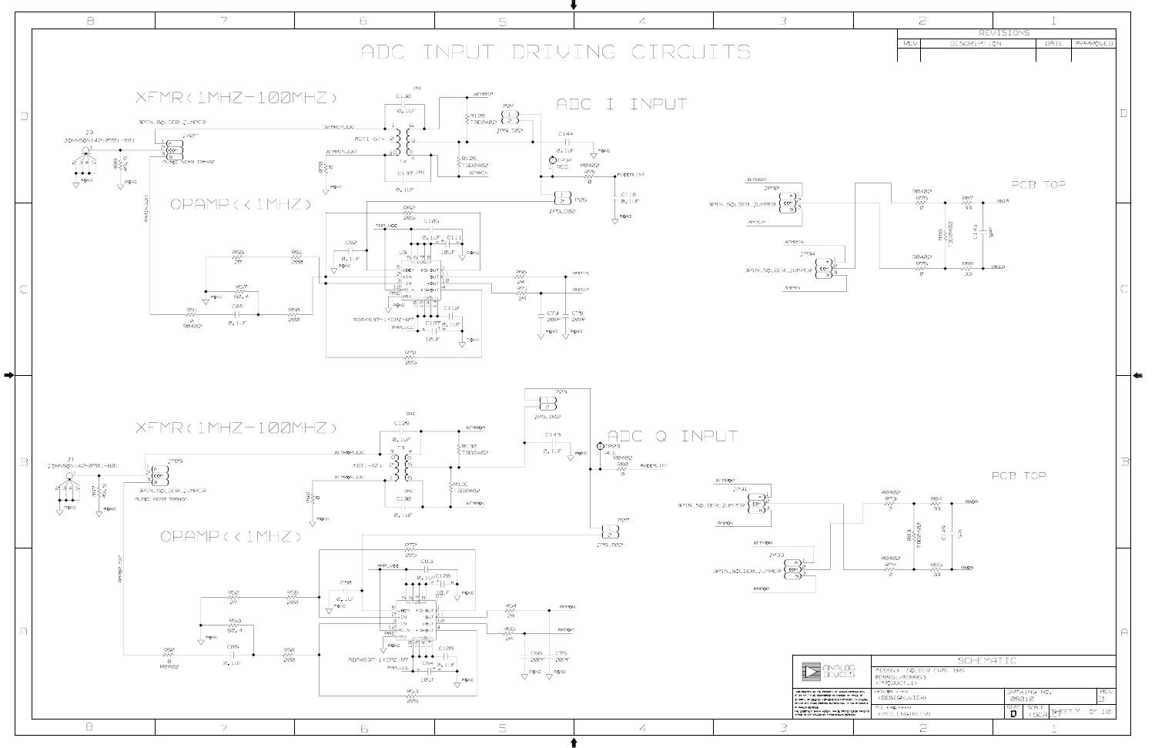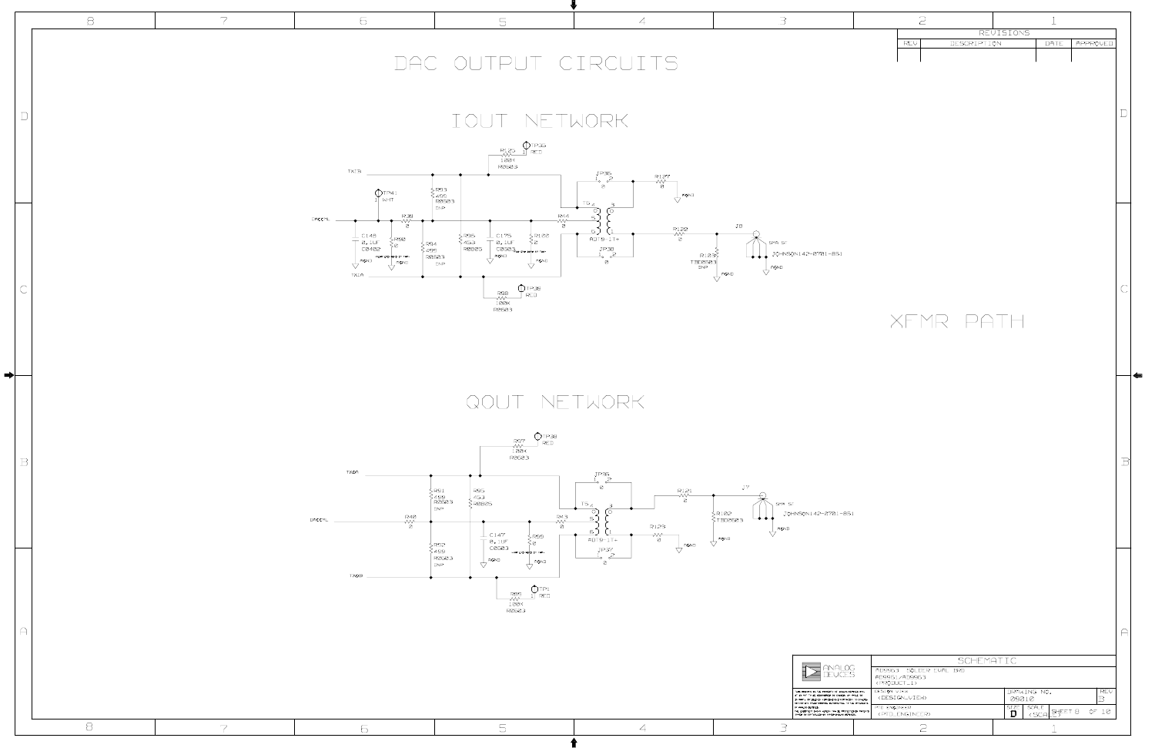

|              | $\beta$     | $\overline{7}$ | 6                                                                                                                                                      | 5                                                                                                                                                                                                                                                                                                                                                                                                                                                                                                                                            | $\overline{A}$                                                                                                                                                                       | $\exists$                                                                                                                                                                                                                                       | $\mathfrak{D}$                                                                                                                                                                               |
|--------------|-------------|----------------|--------------------------------------------------------------------------------------------------------------------------------------------------------|----------------------------------------------------------------------------------------------------------------------------------------------------------------------------------------------------------------------------------------------------------------------------------------------------------------------------------------------------------------------------------------------------------------------------------------------------------------------------------------------------------------------------------------------|--------------------------------------------------------------------------------------------------------------------------------------------------------------------------------------|-------------------------------------------------------------------------------------------------------------------------------------------------------------------------------------------------------------------------------------------------|----------------------------------------------------------------------------------------------------------------------------------------------------------------------------------------------|
|              |             |                |                                                                                                                                                        | DAC OUTPUT CIRCUITS                                                                                                                                                                                                                                                                                                                                                                                                                                                                                                                          |                                                                                                                                                                                      |                                                                                                                                                                                                                                                 | REVISIONS<br>DESCRIPTION<br>DATE <b>APPROVED</b><br>REV                                                                                                                                      |
| $\Box$       |             |                |                                                                                                                                                        | IOUT NETWORK<br>$\begin{array}{c}\n\begin{array}{c}\n\text{R125}\n\text{N} & \text{TP,35}\n\hline\n\text{MW}\n\end{array}\n\end{array}$                                                                                                                                                                                                                                                                                                                                                                                                      |                                                                                                                                                                                      |                                                                                                                                                                                                                                                 |                                                                                                                                                                                              |
|              |             |                | TXIB<br>$\bigcap_{1}$ TP41<br>R.39<br>DACCML<br>$\overline{\mathcal{N}}_{\mathcal{B}}^{\mathcal{N}-}$                                                  | くR93<br>く499<br>  R060,3<br>DNP<br><b>R44</b><br>₩                                                                                                                                                                                                                                                                                                                                                                                                                                                                                           | JP,36<br>$\begin{matrix} R127 \\ -W \\ 0 \end{matrix}$<br>ø<br>$\bigvee$ AGND<br>$T6_A$<br>$\circ$                                                                                   |                                                                                                                                                                                                                                                 |                                                                                                                                                                                              |
|              |             |                | $\frac{1}{\sqrt{2}}$ C14B<br>$\frac{0.1 \text{UF}}{0.0402}$<br>NERR END BOND CH TAP:<br>$\overline{\bigcup_{\text{AGND}}}$<br>AGND<br>$\Delta$<br>TXIA | ø<br>∫R96<br>≷45,3<br> R0805<br>$\begin{array}{c c c} & C175 & & & R100 \\ \hline & 0.10F & & & 0 \\ \hline & C0603_{\text{cm}} & & & 0 \\ \text{AGND} & & & & \\ \hline & & & & \\ \end{array}$<br>$\begin{array}{c} \n\xi_{\text{R100}} \\ \n\xi_{\text{B}} \n\end{array}$<br>}<br>\{ 499<br>  R060,3<br>$\bigcup$ AGND<br><b>DNP</b><br>$\begin{array}{c}\n\begin{array}{c}\n\text{R9B} \\ \text{N0K}\n\end{array}\n\end{array}\n\begin{array}{c}\n\begin{array}{c}\n\text{TP,39} \\ \text{RED} \\ \text{I00K}\n\end{array}\n\end{array}$ | $\begin{array}{c}\nR122 \\ \hline\n\sqrt{6}\n\end{array}$<br>$ADT9-1T+$<br>$\begin{array}{c}\n\text{JP-B} \\ \perp_0 \quad 2\n\end{array}$<br>R103<br>TBD0603<br><sub>DNP</sub><br>ø | JB<br>SMA ST<br>$\begin{array}{ c c c c c }\n\hline\n\downarrow & \text{JOHNSON142--0701--\textbf{BS1}}\n\end{array}$<br>$\frac{1}{\sqrt{ }}$ AGND<br>$\overline{\bigvee}$ AGND                                                                 | XFMR PATH                                                                                                                                                                                    |
| ➡⊦           |             |                |                                                                                                                                                        | QOUT NETWORK<br>$\bigcirc$ TP3B                                                                                                                                                                                                                                                                                                                                                                                                                                                                                                              |                                                                                                                                                                                      |                                                                                                                                                                                                                                                 |                                                                                                                                                                                              |
| $\, {\bf B}$ |             |                | <b>TXQA</b><br>R40<br>-WV-<br>DACCML                                                                                                                   | R97<br>$F$ RED<br>$-\frac{1}{100K}$<br>R060,3<br>{ R91<br>{ 499<br>  R060,3<br>R95<br>45,3<br>$\geq$ RØ805<br>DNP<br>R43<br>-∧∧~                                                                                                                                                                                                                                                                                                                                                                                                             | JP.35<br>R121<br>ø<br>$T5_A$                                                                                                                                                         | J7<br>SMA ST<br>∕R102<br>JOHNSON142-0701-851<br>┶╈╈╇<br>≷твооат≨                                                                                                                                                                                |                                                                                                                                                                                              |
|              |             |                | Ø<br>TXQB                                                                                                                                              | n<br>$\perp$ C147<br>SR99.<br>$T^{\text{o. 1UF}}$<br>⊰๏<br>} R92<br>} 499<br>  R060,3<br>(FAR END AGNO CH TAP)<br>$\cdot$ $\frac{1}{\sqrt{ }}$ AGND<br>AGND<br>DNP<br>77<br>$\bigcirc_{1}^{TPI}$ RED<br>$\begin{array}{r} \text{R} \text{B} \text{S} \\ \text{100K} \\ \text{100K} \\ \text{R} \text{0} \text{6} \text{0.3} \end{array}$                                                                                                                                                                                                     | R123<br>6.<br>$\rightsquigarrow$<br>$ADT9-1T+$<br>Ø<br>$\overline{\bigvee}$ AGND<br>JP37<br><b>n</b>                                                                                 | $\overline{\bigvee}$ AGND<br>$\overline{\bigtriangledown}$ AGND                                                                                                                                                                                 |                                                                                                                                                                                              |
| $\triangle$  |             |                |                                                                                                                                                        |                                                                                                                                                                                                                                                                                                                                                                                                                                                                                                                                              |                                                                                                                                                                                      | ANALOG<br>DEVICES<br>THIS DRINING IS THE PROPERTY OF ANNLOG DEVICES INC.<br>IT IS NOT TO BE REPRODUCED OR COPIED. IN MHOLE OR<br>IN PRET, OR USED IN FURNISHING INFORMATION TO OTHERS.<br>OR FOR ANY OTHER PURPOSE DETRIMENTAL TO THE INTERESTS | SCHEMATIC<br>AD9963 SOLDER EVAL BRD<br>AD9961/AD9963<br><product_1><br/>DESIGN VIEW<br/>DRAWING NO.<br/>  RE∪<br/> B <br/><design_view><br/>09010<br/>PTD ENGINEER</design_view></product_1> |
|              | $\mathbf S$ | 7              | 6                                                                                                                                                      | $\overline{\mathbb{S}}$                                                                                                                                                                                                                                                                                                                                                                                                                                                                                                                      | $\overline{4}$                                                                                                                                                                       | OF PARLOG DEVICES,<br>THE EQUIPMENT SHOAN HEREON HWY BE PROTECTED BY PATENTS<br>GIARD OR CONTROLLED BY OANED PARLOG DEVICES,<br>Э                                                                                                               | SIZE SCALE SHEET B OF 10<br><ptd_engineer><br/><math>\mathfrak{D}</math></ptd_engineer>                                                                                                      |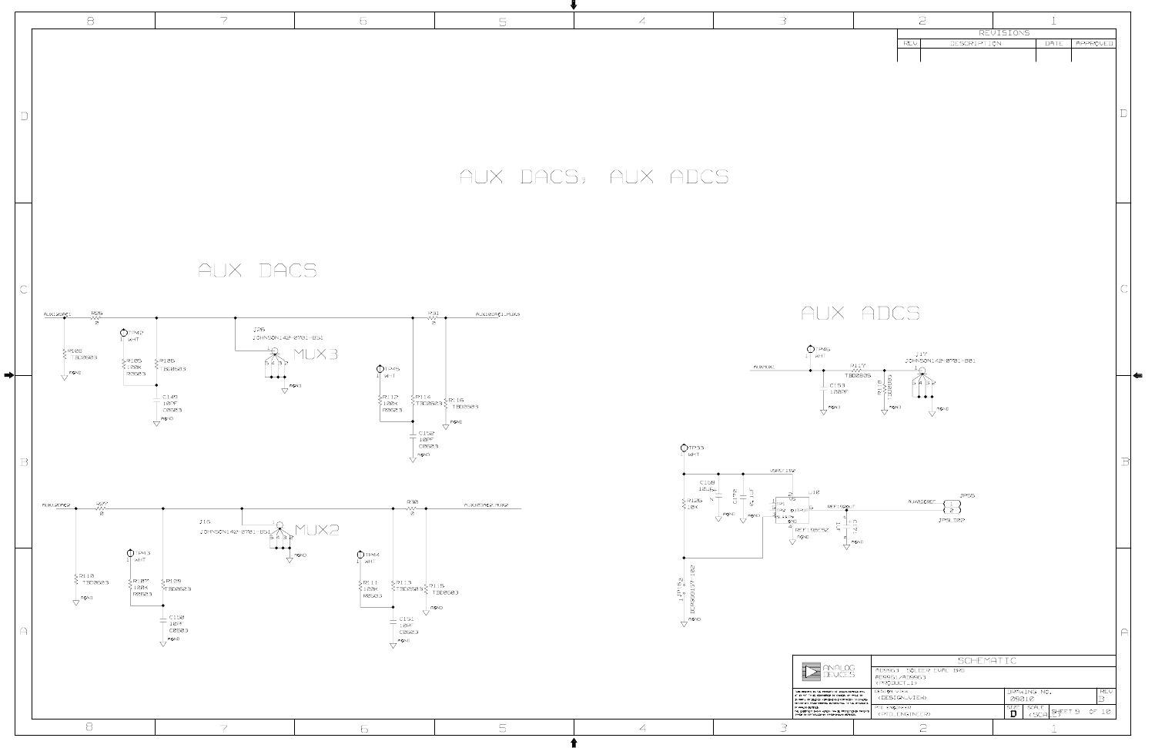|                                                              |                 | $\geq$                                              |                             |               | $\mathbf 1$                             |                       |              |
|--------------------------------------------------------------|-----------------|-----------------------------------------------------|-----------------------------|---------------|-----------------------------------------|-----------------------|--------------|
|                                                              |                 |                                                     |                             | REVISIONS     |                                         |                       |              |
|                                                              |                 | REV                                                 | DESCRIPTION                 |               | DATE                                    | APPROVED              |              |
|                                                              |                 |                                                     |                             |               |                                         |                       |              |
|                                                              |                 |                                                     |                             |               |                                         |                       |              |
|                                                              |                 |                                                     |                             |               |                                         |                       |              |
|                                                              |                 |                                                     |                             |               |                                         |                       | $\mathsf{L}$ |
|                                                              |                 |                                                     |                             |               |                                         |                       |              |
|                                                              |                 |                                                     |                             |               |                                         |                       |              |
|                                                              |                 |                                                     |                             |               |                                         |                       |              |
|                                                              |                 |                                                     |                             |               |                                         |                       |              |
|                                                              |                 |                                                     |                             |               |                                         |                       |              |
|                                                              |                 |                                                     |                             |               |                                         |                       |              |
|                                                              |                 |                                                     |                             |               |                                         |                       |              |
|                                                              |                 |                                                     |                             |               |                                         |                       |              |
|                                                              |                 |                                                     |                             |               |                                         |                       |              |
|                                                              |                 |                                                     |                             |               |                                         |                       |              |
|                                                              |                 |                                                     |                             |               |                                         |                       | C            |
|                                                              |                 |                                                     |                             |               |                                         |                       |              |
| $\times$                                                     |                 | <b>DCS</b>                                          |                             |               |                                         |                       |              |
|                                                              |                 |                                                     |                             |               |                                         |                       |              |
|                                                              |                 |                                                     |                             |               |                                         |                       |              |
|                                                              | R117<br>- W     | <b>J17</b>                                          | JOHNSON142-0701-801         |               |                                         |                       |              |
| C15,3                                                        | TBD0805         | ☑<br>в<br>Б                                         |                             |               |                                         |                       |              |
| 100PF                                                        | TBD0B05<br>R11B |                                                     |                             |               |                                         |                       |              |
| AGND                                                         |                 | AGND                                                | AGND                        |               |                                         |                       |              |
|                                                              |                 |                                                     |                             |               |                                         |                       |              |
|                                                              |                 |                                                     |                             |               |                                         |                       |              |
|                                                              |                 |                                                     |                             |               |                                         |                       | $\mathbb B$  |
|                                                              |                 |                                                     |                             |               |                                         |                       |              |
|                                                              |                 |                                                     |                             |               |                                         |                       |              |
| <b>REF1920UT</b>                                             |                 | AUXADCREF                                           | <b>JP55</b><br>$\mathbf{1}$ |               |                                         |                       |              |
| $\alpha$                                                     |                 |                                                     | 2<br>JPSLD02                |               |                                         |                       |              |
| rs<br>T<br>$\overline{\varsigma}$<br>z                       | AGND            |                                                     |                             |               |                                         |                       |              |
|                                                              |                 |                                                     |                             |               |                                         |                       |              |
|                                                              |                 |                                                     |                             |               |                                         |                       |              |
|                                                              |                 |                                                     |                             |               |                                         |                       |              |
|                                                              |                 |                                                     |                             |               |                                         |                       |              |
|                                                              |                 |                                                     |                             |               |                                         |                       |              |
|                                                              |                 |                                                     |                             |               |                                         |                       | $\bigcap$    |
|                                                              |                 |                                                     |                             |               |                                         |                       |              |
|                                                              |                 |                                                     | SCHEMATIC                   |               |                                         |                       |              |
| NALOG<br>JCES                                                |                 | AD996,3 SOLDER EVAL BRD<br>AD9961/AD9963            |                             |               |                                         |                       |              |
| 3RTY OF ANNLOG DEVICES INC.<br>20 OR COPIED, IN NHOLE OR     |                 | <product_1><br/>DESIGN VIEW</product_1>             |                             |               | DRAWING NO.                             | REV                   |              |
| SHING INFORMATION TO OTHERS.<br>DETRIMENTAL TO THE INTERESTS |                 | <design_view><br/>PTD ENGINEER</design_view>        |                             | 09010<br>SIZE | SCALE<br>완자 9                           | $\, {\bf B}$<br>OF 10 |              |
| N MAY SE PROTECTED SY PATENTS<br>INED ANALOG DEVICES,        |                 | <ptd_engineer><br/><math>\sum</math></ptd_engineer> |                             | D             | <scai< td=""><td></td><td></td></scai<> |                       |              |
|                                                              |                 |                                                     |                             |               |                                         |                       |              |